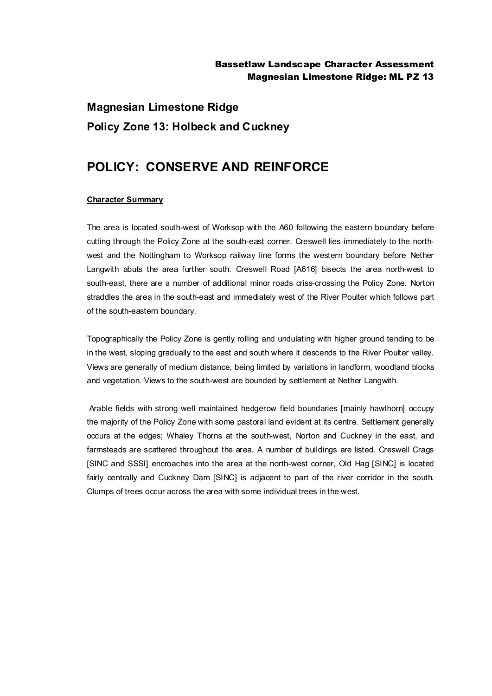### Bassetlaw Landscape Character Assessment Magnesian Limestone Ridge: ML PZ 13

# **Magnesian Limestone Ridge Policy Zone 13: Holbeck and Cuckney**

## **POLICY: CONSERVE AND REINFORCE**

#### **Character Summary**

The area is located south-west of Worksop with the A60 following the eastern boundary before cutting through the Policy Zone at the south-east corner. Creswell lies immediately to the northwest and the Nottingham to Worksop railway line forms the western boundary before Nether Langwith abuts the area further south. Creswell Road [A616] bisects the area north-west to south-east, there are a number of additional minor roads criss-crossing the Policy Zone. Norton straddles the area in the south-east and immediately west of the River Poulter which follows part of the south-eastern boundary.

Topographically the Policy Zone is gently rolling and undulating with higher ground tending to be in the west, sloping gradually to the east and south where it descends to the River Poulter valley. Views are generally of medium distance, being limited by variations in landform, woodland blocks and vegetation. Views to the south-west are bounded by settlement at Nether Langwith.

Arable fields with strong well maintained hedgerow field boundaries [mainly hawthorn] occupy the majority of the Policy Zone with some pastoral land evident at its centre. Settlement generally occurs at the edges; Whaley Thorns at the south-west, Norton and Cuckney in the east, and farmsteads are scattered throughout the area. A number of buildings are listed. Creswell Crags [SINC and SSSI] encroaches into the area at the north-west corner, Old Hag [SINC] is located fairly centrally and Cuckney Dam [SINC] is adjacent to part of the river corridor in the south. Clumps of trees occur across the area with some individual trees in the west.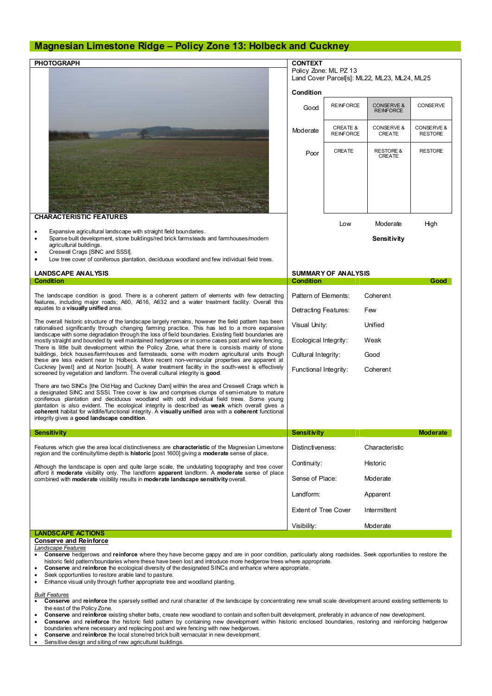#### **Magnesian Limestone Ridge – Policy Zone 13: Holbeck and Cuckney**

| <b>PHOTOGRAPH</b>                                                                                                                                                                                                                                                                                                                                                                                                                                                                                                                                    | <b>CONTEXT</b>                                                        |                                         |                                           |                              |  |
|------------------------------------------------------------------------------------------------------------------------------------------------------------------------------------------------------------------------------------------------------------------------------------------------------------------------------------------------------------------------------------------------------------------------------------------------------------------------------------------------------------------------------------------------------|-----------------------------------------------------------------------|-----------------------------------------|-------------------------------------------|------------------------------|--|
|                                                                                                                                                                                                                                                                                                                                                                                                                                                                                                                                                      | Policy Zone: ML PZ 13<br>Land Cover Parcel[s]: ML22, ML23, ML24, ML25 |                                         |                                           |                              |  |
|                                                                                                                                                                                                                                                                                                                                                                                                                                                                                                                                                      |                                                                       |                                         |                                           |                              |  |
|                                                                                                                                                                                                                                                                                                                                                                                                                                                                                                                                                      | Condition                                                             |                                         |                                           |                              |  |
|                                                                                                                                                                                                                                                                                                                                                                                                                                                                                                                                                      | Good                                                                  | <b>REINFORCE</b>                        | <b>CONSERVE &amp;</b><br><b>REINFORCE</b> | CONSERVE                     |  |
|                                                                                                                                                                                                                                                                                                                                                                                                                                                                                                                                                      | Moderate                                                              | <b>CREATE &amp;</b><br><b>REINFORCE</b> | CONSERVE &<br>CREATE                      | CONSERVE &<br><b>RESTORE</b> |  |
|                                                                                                                                                                                                                                                                                                                                                                                                                                                                                                                                                      | Poor                                                                  | CREATE                                  | <b>RESTORE &amp;</b><br>CREATE            | <b>RESTORE</b>               |  |
|                                                                                                                                                                                                                                                                                                                                                                                                                                                                                                                                                      |                                                                       |                                         |                                           |                              |  |
| <b>CHARACTERISTIC FEATURES</b>                                                                                                                                                                                                                                                                                                                                                                                                                                                                                                                       |                                                                       |                                         |                                           |                              |  |
| Expansive agricultural landscape with straight field boundaries.<br>$\bullet$                                                                                                                                                                                                                                                                                                                                                                                                                                                                        |                                                                       | Low                                     | Moderate                                  | High                         |  |
| Sparse built development, stone buildings/red brick farmsteads and farmhouses/modern<br>$\bullet$                                                                                                                                                                                                                                                                                                                                                                                                                                                    |                                                                       |                                         | Sensitivity                               |                              |  |
| agricultural buildings.<br>Creswell Crags [SINC and SSSI].                                                                                                                                                                                                                                                                                                                                                                                                                                                                                           |                                                                       |                                         |                                           |                              |  |
| Low tree cover of coniferous plantation, deciduous woodland and few individual field trees.<br>$\bullet$                                                                                                                                                                                                                                                                                                                                                                                                                                             |                                                                       |                                         |                                           |                              |  |
| <b>LANDSCAPE ANALYSIS</b>                                                                                                                                                                                                                                                                                                                                                                                                                                                                                                                            | <b>SUMMARY OF ANALYSIS</b>                                            |                                         |                                           |                              |  |
| <b>Condition</b>                                                                                                                                                                                                                                                                                                                                                                                                                                                                                                                                     | <b>Condition</b>                                                      |                                         |                                           | Good                         |  |
| The landscape condition is good. There is a coherent pattern of elements with few detracting<br>features, including major roads; A60, A616, A632 and a water treatment facility. Overall this                                                                                                                                                                                                                                                                                                                                                        |                                                                       | Pattern of Elements:                    |                                           |                              |  |
| equates to a visually unified area.                                                                                                                                                                                                                                                                                                                                                                                                                                                                                                                  | Detracting Features:                                                  |                                         | Few                                       |                              |  |
| The overall historic structure of the landscape largely remains, however the field pattem has been<br>rationalised significantly through changing farming practice. This has led to a more expansive<br>landscape with some degradation through the loss of field boundaries. Existing field boundaries are<br>mostly straight and bounded by well maintained hedgerows or in some cases post and wire fencing.<br>There is little built development within the Policy Zone, what there is consists mainly of stone                                  | Visual Unity:                                                         |                                         | Unified                                   |                              |  |
|                                                                                                                                                                                                                                                                                                                                                                                                                                                                                                                                                      | Ecological Integrity:                                                 |                                         | Weak                                      |                              |  |
|                                                                                                                                                                                                                                                                                                                                                                                                                                                                                                                                                      |                                                                       |                                         |                                           |                              |  |
| buildings, brick houses/farmhouses and farmsteads, some with modern agricultural units though<br>these are less evident near to Holbeck. More recent non-vernacular properties are apparent at<br>Cuckney [west] and at Norton [south]. A water treatment facility in the south-west is effectively<br>screened by vegetation and landform. The overall cultural integrity is good.                                                                                                                                                                  |                                                                       | Cultural Integrity:                     |                                           | Good                         |  |
|                                                                                                                                                                                                                                                                                                                                                                                                                                                                                                                                                      |                                                                       | Functional Integrity:                   |                                           | Coherent                     |  |
| There are two SINCs [the Old Hag and Cuckney Dam] within the area and Creswell Crags which is<br>a designated SINC and SSSI. Tree cover is low and comprises clumps of semi-mature to mature<br>coniferous plantation and deciduous woodland with odd individual field trees. Some young<br>plantation is also evident. The ecological integrity is described as weak which overall gives a<br>coherent habitat for wildlife/functional integrity. A visually unified area with a coherent functional<br>integrity gives a good landscape condition. |                                                                       |                                         |                                           |                              |  |
| Sensitivity                                                                                                                                                                                                                                                                                                                                                                                                                                                                                                                                          | <b>Sensitivity</b>                                                    |                                         |                                           | <b>Moderate</b>              |  |
| Features which give the area local distinctiveness are <b>characteristic</b> of the Magnesian Limestone<br>region and the continuity/time depth is <b>historic</b> [post 1600] giving a <b>moderate</b> sense of place.                                                                                                                                                                                                                                                                                                                              | Distinctiveness:                                                      |                                         | Characteristic                            |                              |  |
| Athough the landscape is open and quite large scale, the undulating topography and tree cover<br>afford it moderate visibility only. The landform apparent landform. A moderate sense of place<br>combined with moderate visibility results in moderate landscape sensitivity overall.                                                                                                                                                                                                                                                               | Continuity:                                                           |                                         | Historic                                  |                              |  |
|                                                                                                                                                                                                                                                                                                                                                                                                                                                                                                                                                      | Sense of Place:                                                       |                                         | Moderate                                  |                              |  |
|                                                                                                                                                                                                                                                                                                                                                                                                                                                                                                                                                      | Landform:                                                             |                                         | Apparent                                  |                              |  |
|                                                                                                                                                                                                                                                                                                                                                                                                                                                                                                                                                      | <b>Extent of Tree Cover</b>                                           |                                         | Intermittent                              |                              |  |
|                                                                                                                                                                                                                                                                                                                                                                                                                                                                                                                                                      | Visibility:                                                           |                                         | Moderate                                  |                              |  |
| <b>LANDSCAPE ACTIONS</b>                                                                                                                                                                                                                                                                                                                                                                                                                                                                                                                             |                                                                       |                                         |                                           |                              |  |
| <b>Conserve and Reinforce</b><br>andecens Festures                                                                                                                                                                                                                                                                                                                                                                                                                                                                                                   |                                                                       |                                         |                                           |                              |  |

- *Landscape Features*
- · **Conserve** hedgerows and **reinforce** where they have become gappy and are in poor condition, particularly along roadsides. Seek opportunities to restore the historic field pattern/boundaries where these have been lost and introduce more hedgerow trees where appropriate.
- · **Conserve** and **reinforce** the ecological diversity of the designated SINCs and enhance where appropriate.
- · Seek opportunities to restore arable land to pasture.
- · Enhance visual unity through further appropriate tree and woodland planting.

- *Built Features* · **Conserve** and **reinforce** the sparsely settled and rural character of the landscape by concentrating new small scale development around existing settlements to the east of the Policy Zone.
- · **Conserve** and **reinforce** existing shelter belts, create new woodland to contain and soften built development, preferably in advance of new development.
- · **Conserve** and **reinforce** the historic field pattern by containing new development within historic enclosed boundaries, restoring and reinforcing hedgerow boundaries where necessary and replacing post and wire fencing with new hedgerows.
- · **Conserve** and **reinforce** the local stone/red brick built vernacular in new development.
- Sensitive design and siting of new agricultural buildings.